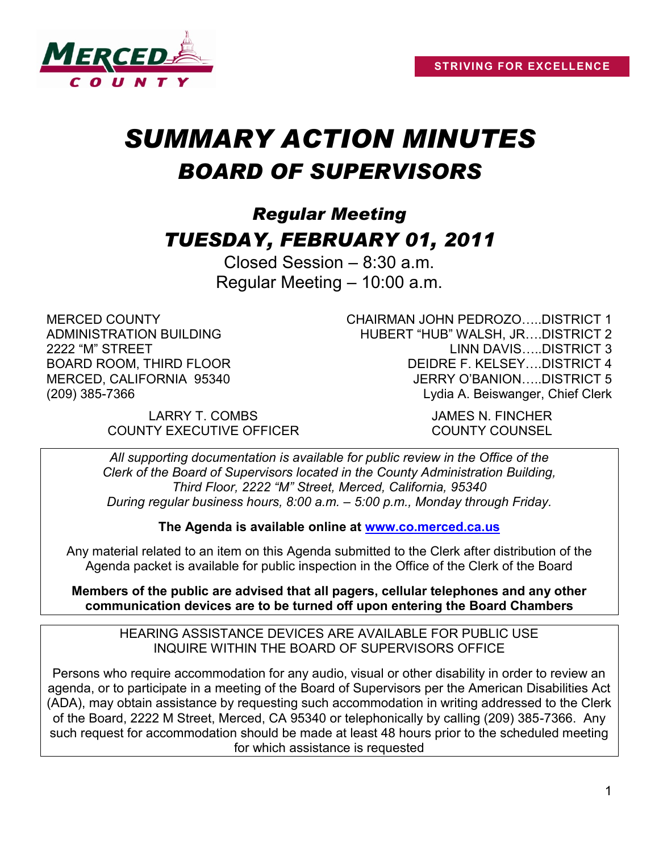

# *SUMMARY ACTION MINUTES BOARD OF SUPERVISORS*

# *Regular Meeting TUESDAY, FEBRUARY 01, 2011*

Closed Session – 8:30 a.m. Regular Meeting – 10:00 a.m.

MERCED COUNTY ADMINISTRATION BUILDING 2222 "M" STREET BOARD ROOM, THIRD FLOOR MERCED, CALIFORNIA 95340 (209) 385-7366

CHAIRMAN JOHN PEDROZO…..DISTRICT 1 HUBERT "HUB" WALSH, JR….DISTRICT 2 LINN DAVIS…..DISTRICT 3 DEIDRE F. KELSEY….DISTRICT 4 JERRY O'BANION…..DISTRICT 5 Lydia A. Beiswanger, Chief Clerk

LARRY T. COMBS JAMES N. FINCHER COUNTY EXECUTIVE OFFICER COUNTY COUNSEL

*All supporting documentation is available for public review in the Office of the Clerk of the Board of Supervisors located in the County Administration Building, Third Floor, 2222 "M" Street, Merced, California, 95340 During regular business hours, 8:00 a.m. – 5:00 p.m., Monday through Friday.*

**The Agenda is available online at [www.co.merced.ca.us](http://www.co.merced.ca.us/)**

Any material related to an item on this Agenda submitted to the Clerk after distribution of the Agenda packet is available for public inspection in the Office of the Clerk of the Board

**Members of the public are advised that all pagers, cellular telephones and any other communication devices are to be turned off upon entering the Board Chambers**

HEARING ASSISTANCE DEVICES ARE AVAILABLE FOR PUBLIC USE INQUIRE WITHIN THE BOARD OF SUPERVISORS OFFICE

Persons who require accommodation for any audio, visual or other disability in order to review an agenda, or to participate in a meeting of the Board of Supervisors per the American Disabilities Act (ADA), may obtain assistance by requesting such accommodation in writing addressed to the Clerk of the Board, 2222 M Street, Merced, CA 95340 or telephonically by calling (209) 385-7366. Any such request for accommodation should be made at least 48 hours prior to the scheduled meeting for which assistance is requested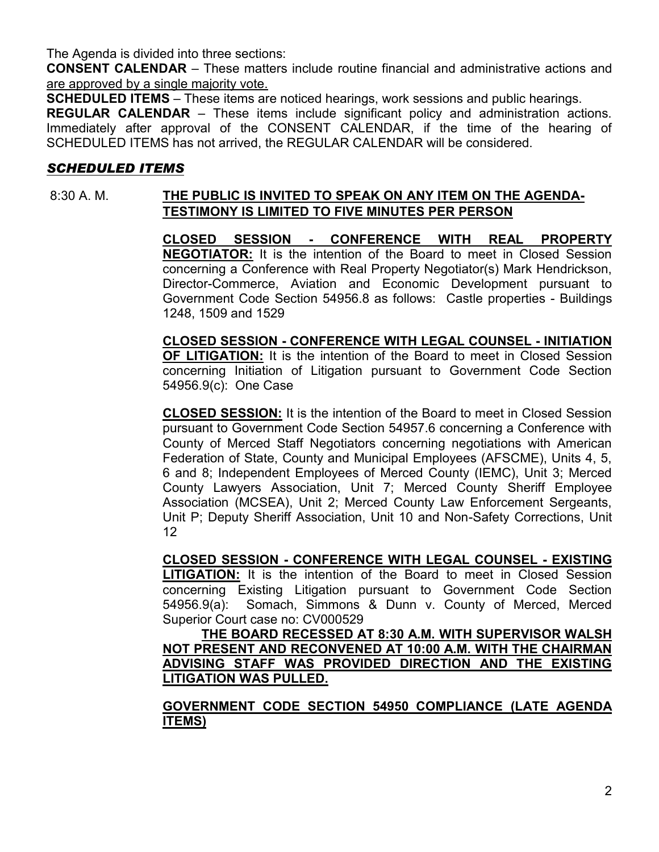The Agenda is divided into three sections:

**CONSENT CALENDAR** – These matters include routine financial and administrative actions and are approved by a single majority vote.

**SCHEDULED ITEMS** – These items are noticed hearings, work sessions and public hearings.

**REGULAR CALENDAR** – These items include significant policy and administration actions. Immediately after approval of the CONSENT CALENDAR, if the time of the hearing of SCHEDULED ITEMS has not arrived, the REGULAR CALENDAR will be considered.

# *SCHEDULED ITEMS*

# 8:30 A. M. **THE PUBLIC IS INVITED TO SPEAK ON ANY ITEM ON THE AGENDA-TESTIMONY IS LIMITED TO FIVE MINUTES PER PERSON**

**CLOSED SESSION - CONFERENCE WITH REAL PROPERTY NEGOTIATOR:** It is the intention of the Board to meet in Closed Session concerning a Conference with Real Property Negotiator(s) Mark Hendrickson, Director-Commerce, Aviation and Economic Development pursuant to Government Code Section 54956.8 as follows: Castle properties - Buildings 1248, 1509 and 1529

**CLOSED SESSION - CONFERENCE WITH LEGAL COUNSEL - INITIATION OF LITIGATION:** It is the intention of the Board to meet in Closed Session concerning Initiation of Litigation pursuant to Government Code Section 54956.9(c): One Case

**CLOSED SESSION:** It is the intention of the Board to meet in Closed Session pursuant to Government Code Section 54957.6 concerning a Conference with County of Merced Staff Negotiators concerning negotiations with American Federation of State, County and Municipal Employees (AFSCME), Units 4, 5, 6 and 8; Independent Employees of Merced County (IEMC), Unit 3; Merced County Lawyers Association, Unit 7; Merced County Sheriff Employee Association (MCSEA), Unit 2; Merced County Law Enforcement Sergeants, Unit P; Deputy Sheriff Association, Unit 10 and Non-Safety Corrections, Unit 12

**CLOSED SESSION - CONFERENCE WITH LEGAL COUNSEL - EXISTING LITIGATION:** It is the intention of the Board to meet in Closed Session concerning Existing Litigation pursuant to Government Code Section 54956.9(a): Somach, Simmons & Dunn v. County of Merced, Merced Superior Court case no: CV000529

**THE BOARD RECESSED AT 8:30 A.M. WITH SUPERVISOR WALSH NOT PRESENT AND RECONVENED AT 10:00 A.M. WITH THE CHAIRMAN ADVISING STAFF WAS PROVIDED DIRECTION AND THE EXISTING LITIGATION WAS PULLED.** 

**GOVERNMENT CODE SECTION 54950 COMPLIANCE (LATE AGENDA ITEMS)**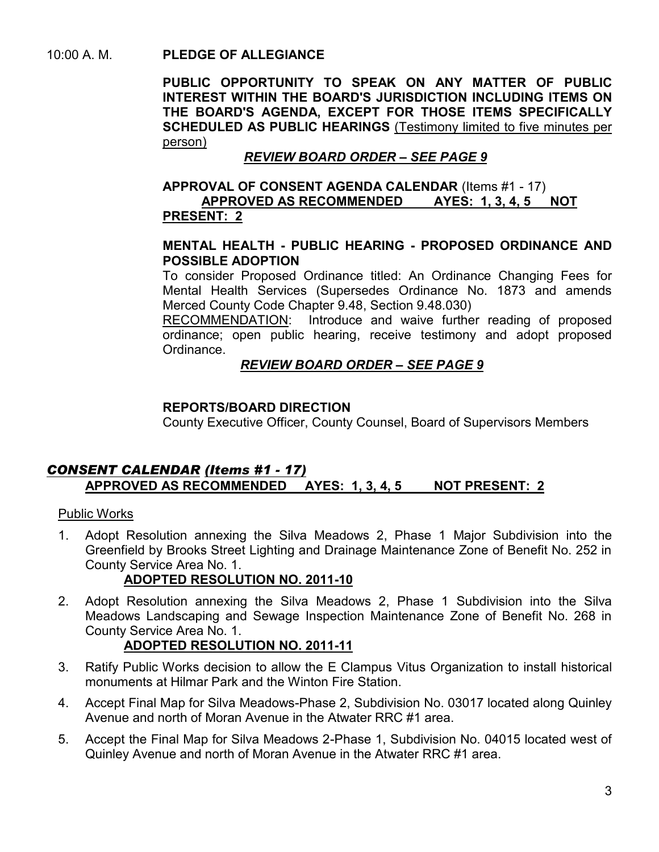# 10:00 A. M. **PLEDGE OF ALLEGIANCE**

**PUBLIC OPPORTUNITY TO SPEAK ON ANY MATTER OF PUBLIC INTEREST WITHIN THE BOARD'S JURISDICTION INCLUDING ITEMS ON THE BOARD'S AGENDA, EXCEPT FOR THOSE ITEMS SPECIFICALLY SCHEDULED AS PUBLIC HEARINGS** (Testimony limited to five minutes per person)

# *REVIEW BOARD ORDER – SEE PAGE 9*

#### **APPROVAL OF CONSENT AGENDA CALENDAR** (Items #1 - 17) **APPROVED AS RECOMMENDED AYES: 1, 3, 4, 5 NOT PRESENT: 2**

#### **MENTAL HEALTH - PUBLIC HEARING - PROPOSED ORDINANCE AND POSSIBLE ADOPTION**

To consider Proposed Ordinance titled: An Ordinance Changing Fees for Mental Health Services (Supersedes Ordinance No. 1873 and amends Merced County Code Chapter 9.48, Section 9.48.030)

RECOMMENDATION: Introduce and waive further reading of proposed ordinance; open public hearing, receive testimony and adopt proposed Ordinance.

# *REVIEW BOARD ORDER – SEE PAGE 9*

#### **REPORTS/BOARD DIRECTION**

County Executive Officer, County Counsel, Board of Supervisors Members

# *CONSENT CALENDAR (Items #1 - 17)* **APPROVED AS RECOMMENDED AYES: 1, 3, 4, 5 NOT PRESENT: 2**

# Public Works

1. Adopt Resolution annexing the Silva Meadows 2, Phase 1 Major Subdivision into the Greenfield by Brooks Street Lighting and Drainage Maintenance Zone of Benefit No. 252 in County Service Area No. 1.

# **ADOPTED RESOLUTION NO. 2011-10**

2. Adopt Resolution annexing the Silva Meadows 2, Phase 1 Subdivision into the Silva Meadows Landscaping and Sewage Inspection Maintenance Zone of Benefit No. 268 in County Service Area No. 1.

# **ADOPTED RESOLUTION NO. 2011-11**

- 3. Ratify Public Works decision to allow the E Clampus Vitus Organization to install historical monuments at Hilmar Park and the Winton Fire Station.
- 4. Accept Final Map for Silva Meadows-Phase 2, Subdivision No. 03017 located along Quinley Avenue and north of Moran Avenue in the Atwater RRC #1 area.
- 5. Accept the Final Map for Silva Meadows 2-Phase 1, Subdivision No. 04015 located west of Quinley Avenue and north of Moran Avenue in the Atwater RRC #1 area.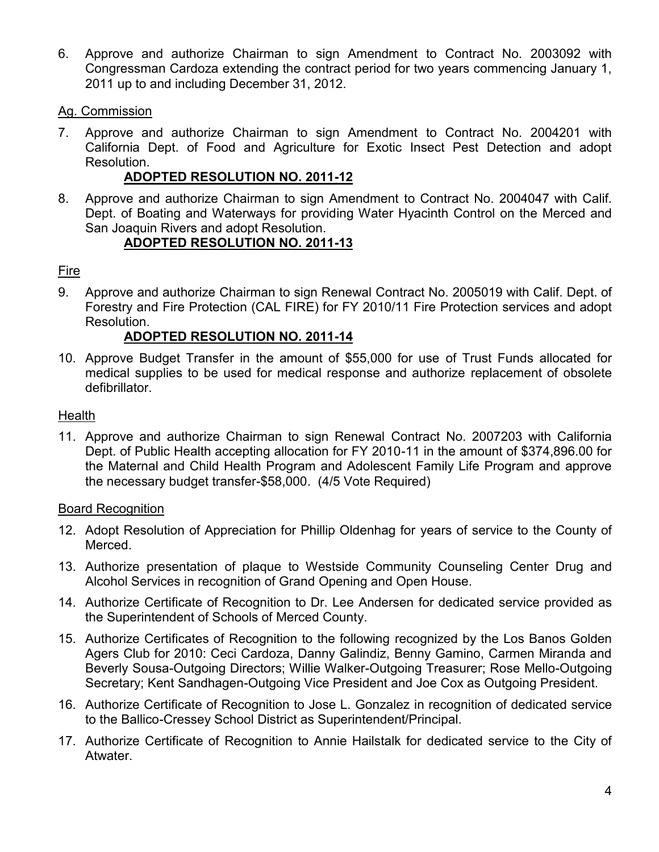6. Approve and authorize Chairman to sign Amendment to Contract No. 2003092 with Congressman Cardoza extending the contract period for two years commencing January 1, 2011 up to and including December 31, 2012.

#### Ag. Commission

7. Approve and authorize Chairman to sign Amendment to Contract No. 2004201 with California Dept. of Food and Agriculture for Exotic Insect Pest Detection and adopt Resolution.

# **ADOPTED RESOLUTION NO. 2011-12**

8. Approve and authorize Chairman to sign Amendment to Contract No. 2004047 with Calif. Dept. of Boating and Waterways for providing Water Hyacinth Control on the Merced and San Joaquin Rivers and adopt Resolution.

# **ADOPTED RESOLUTION NO. 2011-13**

# Fire

9. Approve and authorize Chairman to sign Renewal Contract No. 2005019 with Calif. Dept. of Forestry and Fire Protection (CAL FIRE) for FY 2010/11 Fire Protection services and adopt Resolution.

# **ADOPTED RESOLUTION NO. 2011-14**

10. Approve Budget Transfer in the amount of \$55,000 for use of Trust Funds allocated for medical supplies to be used for medical response and authorize replacement of obsolete defibrillator.

#### **Health**

11. Approve and authorize Chairman to sign Renewal Contract No. 2007203 with California Dept. of Public Health accepting allocation for FY 2010-11 in the amount of \$374,896.00 for the Maternal and Child Health Program and Adolescent Family Life Program and approve the necessary budget transfer-\$58,000. (4/5 Vote Required)

#### Board Recognition

- 12. Adopt Resolution of Appreciation for Phillip Oldenhag for years of service to the County of Merced.
- 13. Authorize presentation of plaque to Westside Community Counseling Center Drug and Alcohol Services in recognition of Grand Opening and Open House.
- 14. Authorize Certificate of Recognition to Dr. Lee Andersen for dedicated service provided as the Superintendent of Schools of Merced County.
- 15. Authorize Certificates of Recognition to the following recognized by the Los Banos Golden Agers Club for 2010: Ceci Cardoza, Danny Galindiz, Benny Gamino, Carmen Miranda and Beverly Sousa-Outgoing Directors; Willie Walker-Outgoing Treasurer; Rose Mello-Outgoing Secretary; Kent Sandhagen-Outgoing Vice President and Joe Cox as Outgoing President.
- 16. Authorize Certificate of Recognition to Jose L. Gonzalez in recognition of dedicated service to the Ballico-Cressey School District as Superintendent/Principal.
- 17. Authorize Certificate of Recognition to Annie Hailstalk for dedicated service to the City of Atwater.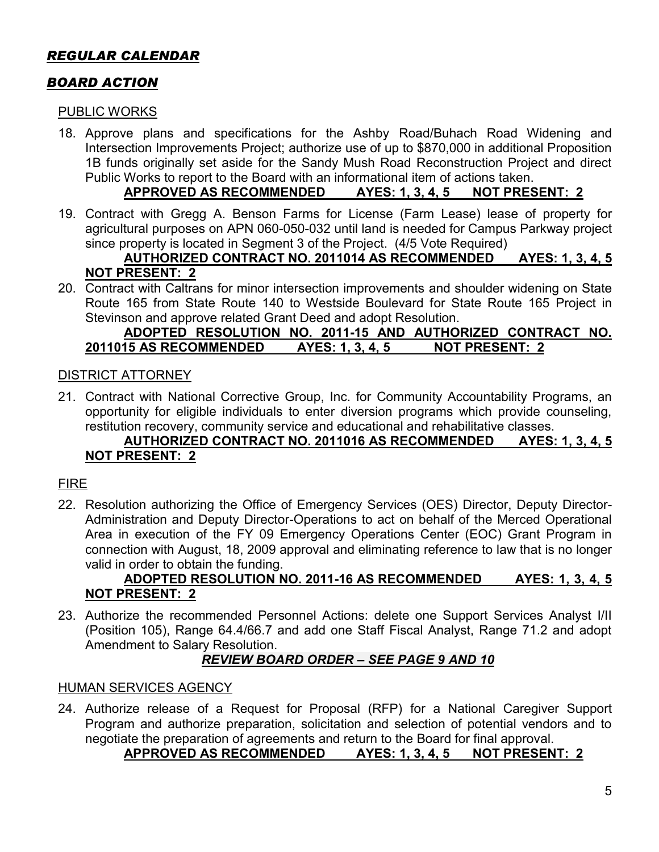# *REGULAR CALENDAR*

# *BOARD ACTION*

#### PUBLIC WORKS

18. Approve plans and specifications for the Ashby Road/Buhach Road Widening and Intersection Improvements Project; authorize use of up to \$870,000 in additional Proposition 1B funds originally set aside for the Sandy Mush Road Reconstruction Project and direct Public Works to report to the Board with an informational item of actions taken.

#### **APPROVED AS RECOMMENDED AYES: 1, 3, 4, 5 NOT PRESENT: 2**

19. Contract with Gregg A. Benson Farms for License (Farm Lease) lease of property for agricultural purposes on APN 060-050-032 until land is needed for Campus Parkway project since property is located in Segment 3 of the Project. (4/5 Vote Required)

#### **AUTHORIZED CONTRACT NO. 2011014 AS RECOMMENDED AYES: 1, 3, 4, 5 NOT PRESENT: 2**

20. Contract with Caltrans for minor intersection improvements and shoulder widening on State Route 165 from State Route 140 to Westside Boulevard for State Route 165 Project in Stevinson and approve related Grant Deed and adopt Resolution.

#### **ADOPTED RESOLUTION NO. 2011-15 AND AUTHORIZED CONTRACT NO. 2011015 AS RECOMMENDED AYES: 1, 3, 4, 5 NOT PRESENT: 2**

#### DISTRICT ATTORNEY

21. Contract with National Corrective Group, Inc. for Community Accountability Programs, an opportunity for eligible individuals to enter diversion programs which provide counseling, restitution recovery, community service and educational and rehabilitative classes.

#### **AUTHORIZED CONTRACT NO. 2011016 AS RECOMMENDED AYES: 1, 3, 4, 5 NOT PRESENT: 2**

# FIRE

22. Resolution authorizing the Office of Emergency Services (OES) Director, Deputy Director-Administration and Deputy Director-Operations to act on behalf of the Merced Operational Area in execution of the FY 09 Emergency Operations Center (EOC) Grant Program in connection with August, 18, 2009 approval and eliminating reference to law that is no longer valid in order to obtain the funding.

# **ADOPTED RESOLUTION NO. 2011-16 AS RECOMMENDED AYES: 1, 3, 4, 5 NOT PRESENT: 2**

23. Authorize the recommended Personnel Actions: delete one Support Services Analyst I/II (Position 105), Range 64.4/66.7 and add one Staff Fiscal Analyst, Range 71.2 and adopt Amendment to Salary Resolution.

# *REVIEW BOARD ORDER – SEE PAGE 9 AND 10*

#### HUMAN SERVICES AGENCY

24. Authorize release of a Request for Proposal (RFP) for a National Caregiver Support Program and authorize preparation, solicitation and selection of potential vendors and to negotiate the preparation of agreements and return to the Board for final approval.

# **APPROVED AS RECOMMENDED AYES: 1, 3, 4, 5 NOT PRESENT: 2**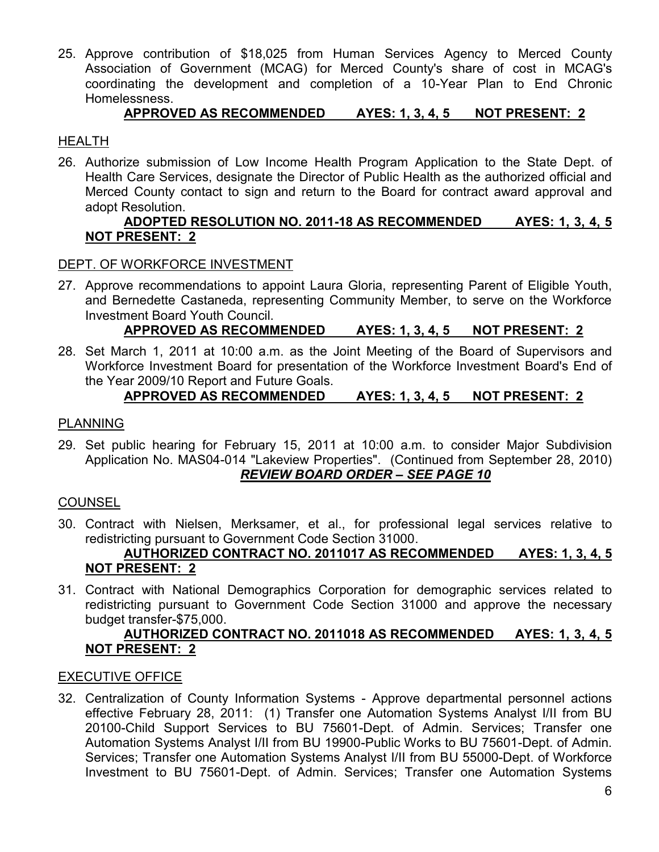25. Approve contribution of \$18,025 from Human Services Agency to Merced County Association of Government (MCAG) for Merced County's share of cost in MCAG's coordinating the development and completion of a 10-Year Plan to End Chronic Homelessness.

# **APPROVED AS RECOMMENDED AYES: 1, 3, 4, 5 NOT PRESENT: 2**

#### HEALTH

26. Authorize submission of Low Income Health Program Application to the State Dept. of Health Care Services, designate the Director of Public Health as the authorized official and Merced County contact to sign and return to the Board for contract award approval and adopt Resolution.

### **ADOPTED RESOLUTION NO. 2011-18 AS RECOMMENDED AYES: 1, 3, 4, 5 NOT PRESENT: 2**

#### DEPT. OF WORKFORCE INVESTMENT

27. Approve recommendations to appoint Laura Gloria, representing Parent of Eligible Youth, and Bernedette Castaneda, representing Community Member, to serve on the Workforce Investment Board Youth Council.

#### **APPROVED AS RECOMMENDED AYES: 1, 3, 4, 5 NOT PRESENT: 2**

28. Set March 1, 2011 at 10:00 a.m. as the Joint Meeting of the Board of Supervisors and Workforce Investment Board for presentation of the Workforce Investment Board's End of the Year 2009/10 Report and Future Goals.

#### **APPROVED AS RECOMMENDED AYES: 1, 3, 4, 5 NOT PRESENT: 2**

#### PLANNING

29. Set public hearing for February 15, 2011 at 10:00 a.m. to consider Major Subdivision Application No. MAS04-014 "Lakeview Properties". (Continued from September 28, 2010) *REVIEW BOARD ORDER – SEE PAGE 10*

#### **COUNSEL**

30. Contract with Nielsen, Merksamer, et al., for professional legal services relative to redistricting pursuant to Government Code Section 31000.

#### **AUTHORIZED CONTRACT NO. 2011017 AS RECOMMENDED AYES: 1, 3, 4, 5 NOT PRESENT: 2**

31. Contract with National Demographics Corporation for demographic services related to redistricting pursuant to Government Code Section 31000 and approve the necessary budget transfer-\$75,000.

#### **AUTHORIZED CONTRACT NO. 2011018 AS RECOMMENDED AYES: 1, 3, 4, 5 NOT PRESENT: 2**

#### EXECUTIVE OFFICE

32. Centralization of County Information Systems - Approve departmental personnel actions effective February 28, 2011: (1) Transfer one Automation Systems Analyst I/II from BU 20100-Child Support Services to BU 75601-Dept. of Admin. Services; Transfer one Automation Systems Analyst I/II from BU 19900-Public Works to BU 75601-Dept. of Admin. Services; Transfer one Automation Systems Analyst I/II from BU 55000-Dept. of Workforce Investment to BU 75601-Dept. of Admin. Services; Transfer one Automation Systems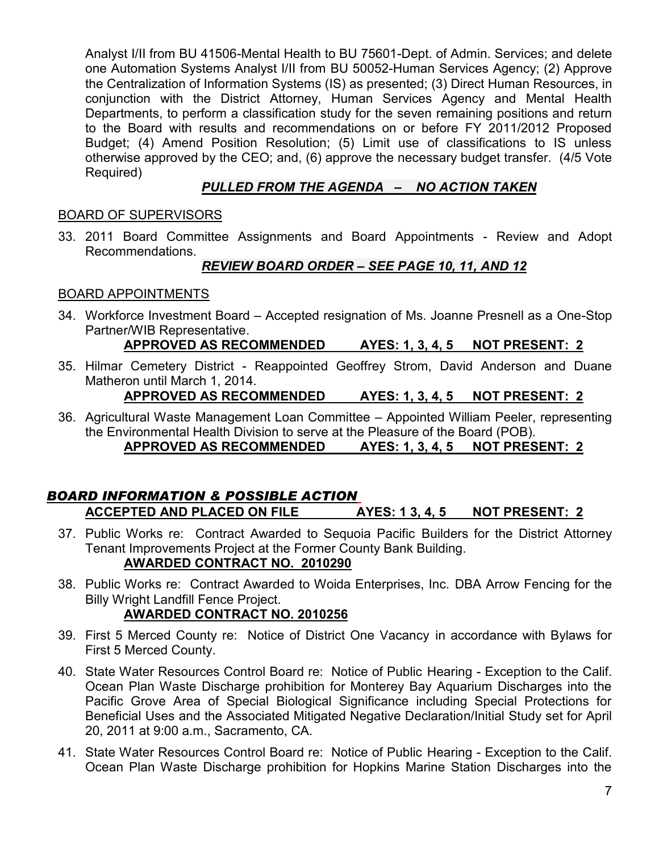Analyst I/II from BU 41506-Mental Health to BU 75601-Dept. of Admin. Services; and delete one Automation Systems Analyst I/II from BU 50052-Human Services Agency; (2) Approve the Centralization of Information Systems (IS) as presented; (3) Direct Human Resources, in conjunction with the District Attorney, Human Services Agency and Mental Health Departments, to perform a classification study for the seven remaining positions and return to the Board with results and recommendations on or before FY 2011/2012 Proposed Budget; (4) Amend Position Resolution; (5) Limit use of classifications to IS unless otherwise approved by the CEO; and, (6) approve the necessary budget transfer. (4/5 Vote Required)

# *PULLED FROM THE AGENDA – NO ACTION TAKEN*

# BOARD OF SUPERVISORS

33. 2011 Board Committee Assignments and Board Appointments - Review and Adopt Recommendations.

# *REVIEW BOARD ORDER – SEE PAGE 10, 11, AND 12*

#### BOARD APPOINTMENTS

34. Workforce Investment Board – Accepted resignation of Ms. Joanne Presnell as a One-Stop Partner/WIB Representative.

# **APPROVED AS RECOMMENDED AYES: 1, 3, 4, 5 NOT PRESENT: 2**

35. Hilmar Cemetery District - Reappointed Geoffrey Strom, David Anderson and Duane Matheron until March 1, 2014.

# **APPROVED AS RECOMMENDED AYES: 1, 3, 4, 5 NOT PRESENT: 2**

36. Agricultural Waste Management Loan Committee – Appointed William Peeler, representing the Environmental Health Division to serve at the Pleasure of the Board (POB). **APPROVED AS RECOMMENDED AYES: 1, 3, 4, 5 NOT PRESENT: 2**

# *BOARD INFORMATION & POSSIBLE ACTION* **ACCEPTED AND PLACED ON FILE AYES: 1 3, 4, 5 NOT PRESENT: 2**

37. Public Works re: Contract Awarded to Sequoia Pacific Builders for the District Attorney Tenant Improvements Project at the Former County Bank Building. **AWARDED CONTRACT NO. 2010290**

# 38. Public Works re: Contract Awarded to Woida Enterprises, Inc. DBA Arrow Fencing for the Billy Wright Landfill Fence Project.

# **AWARDED CONTRACT NO. 2010256**

- 39. First 5 Merced County re: Notice of District One Vacancy in accordance with Bylaws for First 5 Merced County.
- 40. State Water Resources Control Board re: Notice of Public Hearing Exception to the Calif. Ocean Plan Waste Discharge prohibition for Monterey Bay Aquarium Discharges into the Pacific Grove Area of Special Biological Significance including Special Protections for Beneficial Uses and the Associated Mitigated Negative Declaration/Initial Study set for April 20, 2011 at 9:00 a.m., Sacramento, CA.
- 41. State Water Resources Control Board re: Notice of Public Hearing Exception to the Calif. Ocean Plan Waste Discharge prohibition for Hopkins Marine Station Discharges into the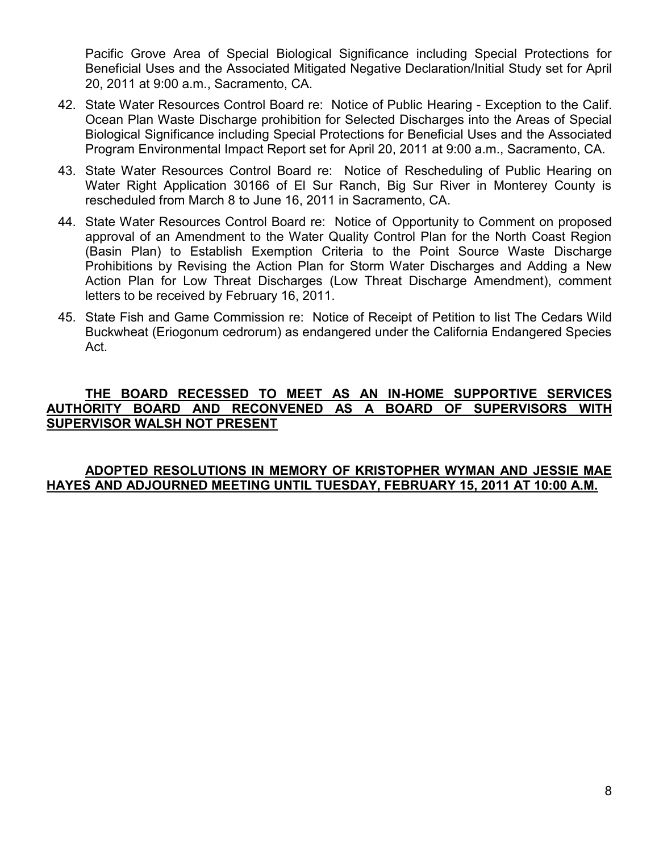Pacific Grove Area of Special Biological Significance including Special Protections for Beneficial Uses and the Associated Mitigated Negative Declaration/Initial Study set for April 20, 2011 at 9:00 a.m., Sacramento, CA.

- 42. State Water Resources Control Board re: Notice of Public Hearing Exception to the Calif. Ocean Plan Waste Discharge prohibition for Selected Discharges into the Areas of Special Biological Significance including Special Protections for Beneficial Uses and the Associated Program Environmental Impact Report set for April 20, 2011 at 9:00 a.m., Sacramento, CA.
- 43. State Water Resources Control Board re: Notice of Rescheduling of Public Hearing on Water Right Application 30166 of El Sur Ranch, Big Sur River in Monterey County is rescheduled from March 8 to June 16, 2011 in Sacramento, CA.
- 44. State Water Resources Control Board re: Notice of Opportunity to Comment on proposed approval of an Amendment to the Water Quality Control Plan for the North Coast Region (Basin Plan) to Establish Exemption Criteria to the Point Source Waste Discharge Prohibitions by Revising the Action Plan for Storm Water Discharges and Adding a New Action Plan for Low Threat Discharges (Low Threat Discharge Amendment), comment letters to be received by February 16, 2011.
- 45. State Fish and Game Commission re: Notice of Receipt of Petition to list The Cedars Wild Buckwheat (Eriogonum cedrorum) as endangered under the California Endangered Species Act.

#### **THE BOARD RECESSED TO MEET AS AN IN-HOME SUPPORTIVE SERVICES AUTHORITY BOARD AND RECONVENED AS A BOARD OF SUPERVISORS WITH SUPERVISOR WALSH NOT PRESENT**

#### **ADOPTED RESOLUTIONS IN MEMORY OF KRISTOPHER WYMAN AND JESSIE MAE HAYES AND ADJOURNED MEETING UNTIL TUESDAY, FEBRUARY 15, 2011 AT 10:00 A.M.**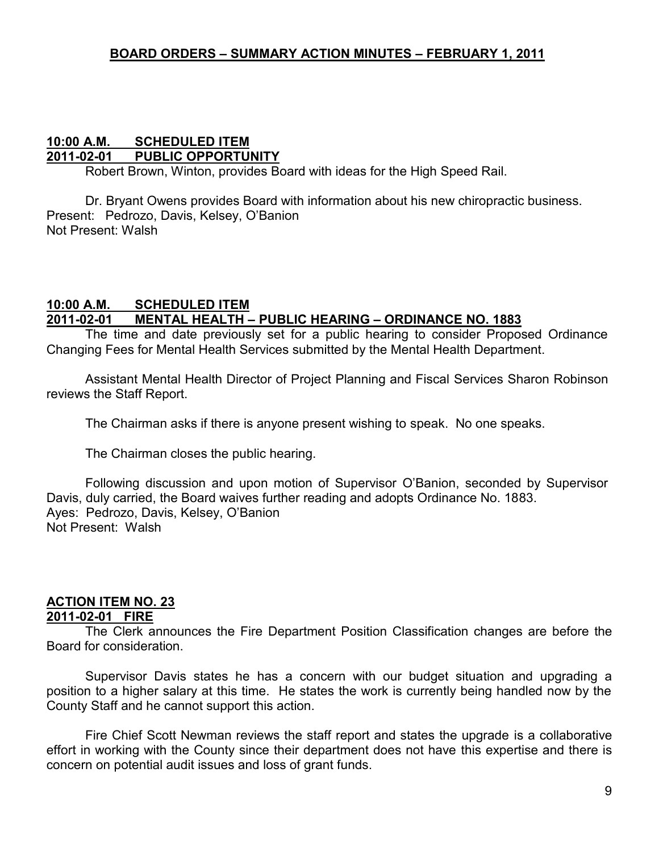#### **10:00 A.M. SCHEDULED ITEM 2011-02-01 PUBLIC OPPORTUNITY**

Robert Brown, Winton, provides Board with ideas for the High Speed Rail.

Dr. Bryant Owens provides Board with information about his new chiropractic business. Present: Pedrozo, Davis, Kelsey, O'Banion Not Present: Walsh

#### **10:00 A.M. SCHEDULED ITEM 2011-02-01 MENTAL HEALTH – PUBLIC HEARING – ORDINANCE NO. 1883**

The time and date previously set for a public hearing to consider Proposed Ordinance Changing Fees for Mental Health Services submitted by the Mental Health Department.

Assistant Mental Health Director of Project Planning and Fiscal Services Sharon Robinson reviews the Staff Report.

The Chairman asks if there is anyone present wishing to speak. No one speaks.

The Chairman closes the public hearing.

Following discussion and upon motion of Supervisor O'Banion, seconded by Supervisor Davis, duly carried, the Board waives further reading and adopts Ordinance No. 1883. Ayes: Pedrozo, Davis, Kelsey, O'Banion Not Present: Walsh

# **ACTION ITEM NO. 23**

#### **2011-02-01 FIRE**

The Clerk announces the Fire Department Position Classification changes are before the Board for consideration.

Supervisor Davis states he has a concern with our budget situation and upgrading a position to a higher salary at this time. He states the work is currently being handled now by the County Staff and he cannot support this action.

Fire Chief Scott Newman reviews the staff report and states the upgrade is a collaborative effort in working with the County since their department does not have this expertise and there is concern on potential audit issues and loss of grant funds.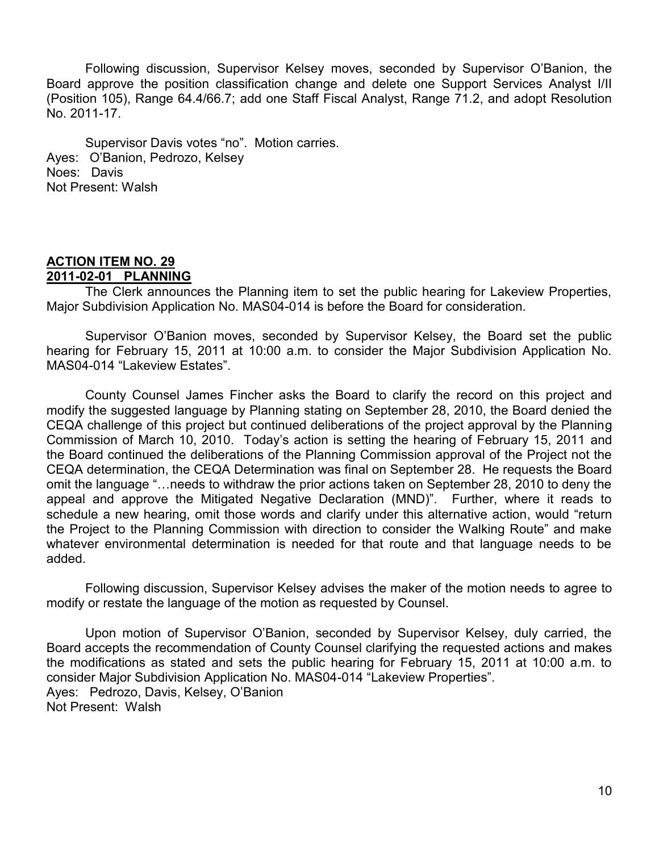Following discussion, Supervisor Kelsey moves, seconded by Supervisor O'Banion, the Board approve the position classification change and delete one Support Services Analyst I/II (Position 105), Range 64.4/66.7; add one Staff Fiscal Analyst, Range 71.2, and adopt Resolution No. 2011-17.

Supervisor Davis votes "no". Motion carries. Ayes: O'Banion, Pedrozo, Kelsey Noes: Davis Not Present: Walsh

#### **ACTION ITEM NO. 29 2011-02-01 PLANNING**

The Clerk announces the Planning item to set the public hearing for Lakeview Properties, Major Subdivision Application No. MAS04-014 is before the Board for consideration.

Supervisor O'Banion moves, seconded by Supervisor Kelsey, the Board set the public hearing for February 15, 2011 at 10:00 a.m. to consider the Major Subdivision Application No. MAS04-014 "Lakeview Estates".

County Counsel James Fincher asks the Board to clarify the record on this project and modify the suggested language by Planning stating on September 28, 2010, the Board denied the CEQA challenge of this project but continued deliberations of the project approval by the Planning Commission of March 10, 2010. Today's action is setting the hearing of February 15, 2011 and the Board continued the deliberations of the Planning Commission approval of the Project not the CEQA determination, the CEQA Determination was final on September 28. He requests the Board omit the language "…needs to withdraw the prior actions taken on September 28, 2010 to deny the appeal and approve the Mitigated Negative Declaration (MND)". Further, where it reads to schedule a new hearing, omit those words and clarify under this alternative action, would "return the Project to the Planning Commission with direction to consider the Walking Route" and make whatever environmental determination is needed for that route and that language needs to be added.

Following discussion, Supervisor Kelsey advises the maker of the motion needs to agree to modify or restate the language of the motion as requested by Counsel.

Upon motion of Supervisor O'Banion, seconded by Supervisor Kelsey, duly carried, the Board accepts the recommendation of County Counsel clarifying the requested actions and makes the modifications as stated and sets the public hearing for February 15, 2011 at 10:00 a.m. to consider Major Subdivision Application No. MAS04-014 "Lakeview Properties". Ayes: Pedrozo, Davis, Kelsey, O'Banion Not Present: Walsh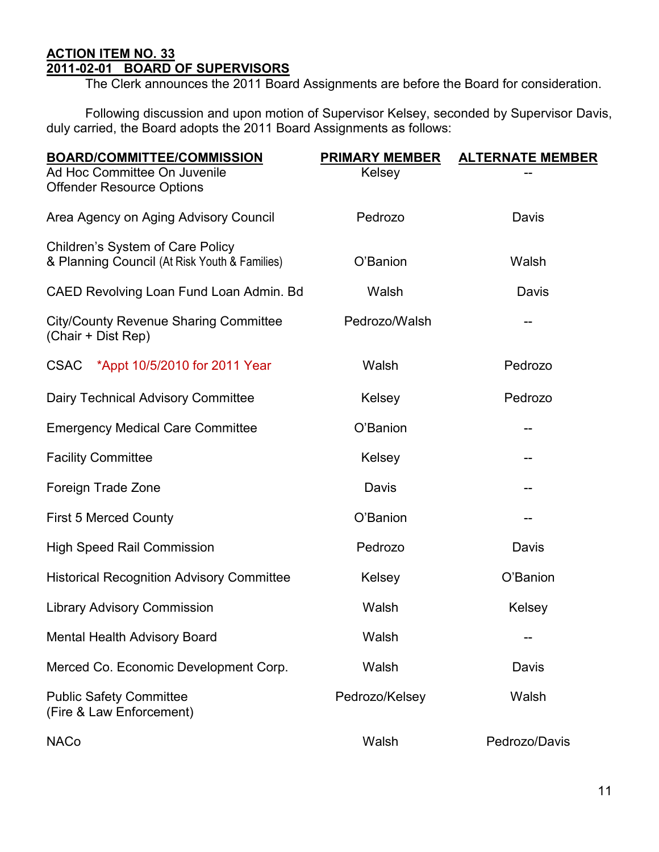# **ACTION ITEM NO. 33 2011-02-01 BOARD OF SUPERVISORS**

The Clerk announces the 2011 Board Assignments are before the Board for consideration.

Following discussion and upon motion of Supervisor Kelsey, seconded by Supervisor Davis, duly carried, the Board adopts the 2011 Board Assignments as follows:

| <b>BOARD/COMMITTEE/COMMISSION</b>                                  | <b>PRIMARY MEMBER</b> | <b>ALTERNATE MEMBER</b> |
|--------------------------------------------------------------------|-----------------------|-------------------------|
| Ad Hoc Committee On Juvenile                                       | Kelsey                |                         |
| <b>Offender Resource Options</b>                                   |                       |                         |
| Area Agency on Aging Advisory Council                              | Pedrozo               | Davis                   |
| Children's System of Care Policy                                   |                       |                         |
| & Planning Council (At Risk Youth & Families)                      | O'Banion              | Walsh                   |
| CAED Revolving Loan Fund Loan Admin. Bd                            | Walsh                 | Davis                   |
| <b>City/County Revenue Sharing Committee</b><br>(Chair + Dist Rep) | Pedrozo/Walsh         | --                      |
| CSAC *Appt 10/5/2010 for 2011 Year                                 | Walsh                 | Pedrozo                 |
| <b>Dairy Technical Advisory Committee</b>                          | Kelsey                | Pedrozo                 |
| <b>Emergency Medical Care Committee</b>                            | O'Banion              |                         |
| <b>Facility Committee</b>                                          | Kelsey                |                         |
| Foreign Trade Zone                                                 | Davis                 |                         |
| <b>First 5 Merced County</b>                                       | O'Banion              | --                      |
| <b>High Speed Rail Commission</b>                                  | Pedrozo               | Davis                   |
| <b>Historical Recognition Advisory Committee</b>                   | Kelsey                | O'Banion                |
| <b>Library Advisory Commission</b>                                 | Walsh                 | Kelsey                  |
| Mental Health Advisory Board                                       | Walsh                 | --                      |
| Merced Co. Economic Development Corp.                              | Walsh                 | Davis                   |
| <b>Public Safety Committee</b><br>(Fire & Law Enforcement)         | Pedrozo/Kelsey        | Walsh                   |
| <b>NACo</b>                                                        | Walsh                 | Pedrozo/Davis           |